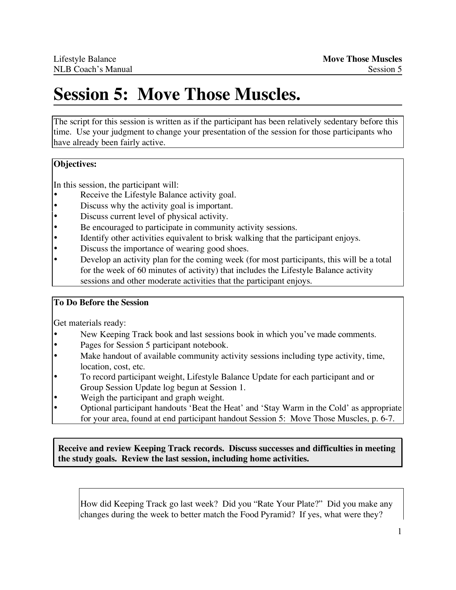# **Session 5: Move Those Muscles.**

The script for this session is written as if the participant has been relatively sedentary before this time. Use your judgment to change your presentation of the session for those participants who have already been fairly active.

# **Objectives:**

In this session, the participant will:

- Receive the Lifestyle Balance activity goal.
- Discuss why the activity goal is important.
- Discuss current level of physical activity.
- Be encouraged to participate in community activity sessions.
- Identify other activities equivalent to brisk walking that the participant enjoys.
- Discuss the importance of wearing good shoes.
- Develop an activity plan for the coming week (for most participants, this will be a total for the week of 60 minutes of activity) that includes the Lifestyle Balance activity sessions and other moderate activities that the participant enjoys.

## **To Do Before the Session**

Get materials ready:

- New Keeping Track book and last sessions book in which you've made comments.
- Pages for Session 5 participant notebook.
- Make handout of available community activity sessions including type activity, time, location, cost, etc.
- To record participant weight, Lifestyle Balance Update for each participant and or Group Session Update log begun at Session 1.
- Weigh the participant and graph weight.
- Optional participant handouts 'Beat the Heat' and 'Stay Warm in the Cold' as appropriate for your area, found at end participant handout Session 5: Move Those Muscles, p. 6-7.

**Receive and review Keeping Track records. Discuss successes and difficulties in meeting the study goals. Review the last session, including home activities.**

How did Keeping Track go last week? Did you "Rate Your Plate?" Did you make any changes during the week to better match the Food Pyramid? If yes, what were they?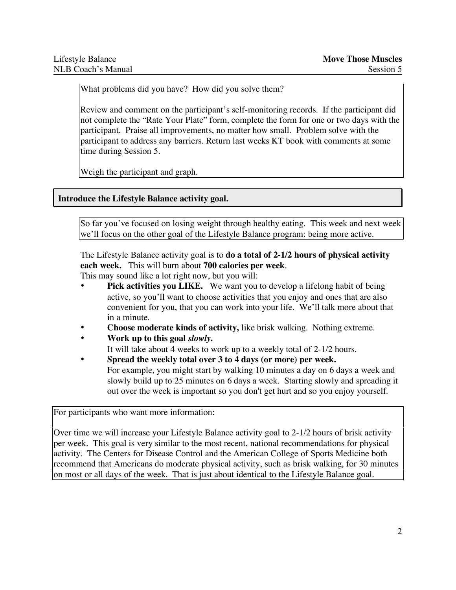What problems did you have? How did you solve them?

Review and comment on the participant's self-monitoring records. If the participant did not complete the "Rate Your Plate" form, complete the form for one or two days with the participant. Praise all improvements, no matter how small. Problem solve with the participant to address any barriers. Return last weeks KT book with comments at some time during Session 5.

Weigh the participant and graph.

# **Introduce the Lifestyle Balance activity goal.**

So far you've focused on losing weight through healthy eating. This week and next week we'll focus on the other goal of the Lifestyle Balance program: being more active.

The Lifestyle Balance activity goal is to **do a total of 2-1/2 hours of physical activity each week.** This will burn about **700 calories per week**.

This may sound like a lot right now, but you will:

- **Pick activities you LIKE.** We want you to develop a lifelong habit of being active, so you'll want to choose activities that you enjoy and ones that are also convenient for you, that you can work into your life. We'll talk more about that in a minute.
- **Choose moderate kinds of activity,** like brisk walking. Nothing extreme.
- **Work up to this goal** *slowly***.** It will take about 4 weeks to work up to a weekly total of 2-1/2 hours.
- **Spread the weekly total over 3 to 4 days (or more) per week.** For example, you might start by walking 10 minutes a day on 6 days a week and slowly build up to 25 minutes on 6 days a week. Starting slowly and spreading it out over the week is important so you don't get hurt and so you enjoy yourself.

For participants who want more information:

Over time we will increase your Lifestyle Balance activity goal to 2-1/2 hours of brisk activity per week. This goal is very similar to the most recent, national recommendations for physical activity. The Centers for Disease Control and the American College of Sports Medicine both recommend that Americans do moderate physical activity, such as brisk walking, for 30 minutes on most or all days of the week. That is just about identical to the Lifestyle Balance goal.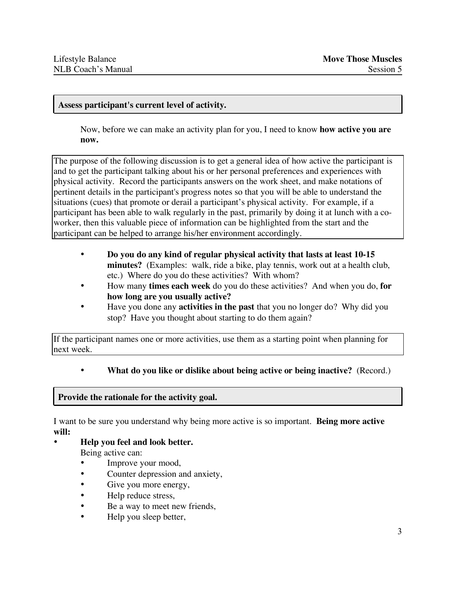#### **Assess participant's current level of activity.**

Now, before we can make an activity plan for you, I need to know **how active you are now.**

The purpose of the following discussion is to get a general idea of how active the participant is and to get the participant talking about his or her personal preferences and experiences with physical activity. Record the participants answers on the work sheet, and make notations of pertinent details in the participant's progress notes so that you will be able to understand the situations (cues) that promote or derail a participant's physical activity. For example, if a participant has been able to walk regularly in the past, primarily by doing it at lunch with a coworker, then this valuable piece of information can be highlighted from the start and the participant can be helped to arrange his/her environment accordingly.

- **Do you do any kind of regular physical activity that lasts at least 10-15 minutes?** (Examples: walk, ride a bike, play tennis, work out at a health club, etc.) Where do you do these activities? With whom?
- How many **times each week** do you do these activities? And when you do, **for how long are you usually active?**
- Have you done any **activities in the past** that you no longer do? Why did you stop? Have you thought about starting to do them again?

If the participant names one or more activities, use them as a starting point when planning for next week.

• **What do you like or dislike about being active or being inactive?** (Record.)

#### **Provide the rationale for the activity goal.**

I want to be sure you understand why being more active is so important. **Being more active will:**

• **Help you feel and look better.**

Being active can:

- Improve your mood,
- Counter depression and anxiety,
- Give you more energy,
- Help reduce stress,
- Be a way to meet new friends,
- Help you sleep better,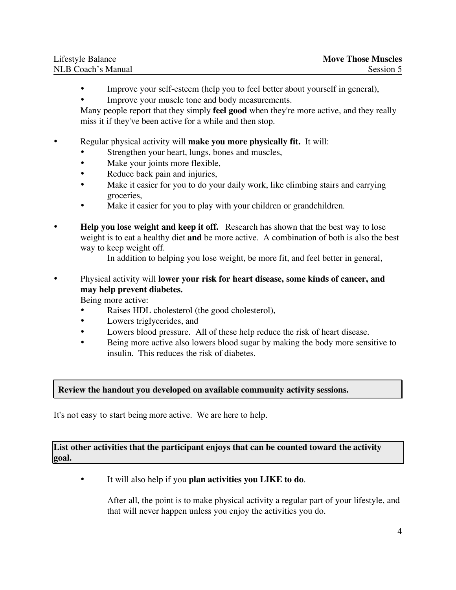| Lifestyle Balance  | <b>Move Those Muscles</b> |
|--------------------|---------------------------|
| NLB Coach's Manual | Session 5                 |

- Improve your self-esteem (help you to feel better about yourself in general),
- Improve your muscle tone and body measurements.

Many people report that they simply **feel good** when they're more active, and they really miss it if they've been active for a while and then stop.

#### • Regular physical activity will **make you more physically fit.** It will:

- Strengthen your heart, lungs, bones and muscles,
- Make your joints more flexible,
- Reduce back pain and injuries,
- Make it easier for you to do your daily work, like climbing stairs and carrying groceries,
- Make it easier for you to play with your children or grandchildren.
- **Help you lose weight and keep it off.** Research has shown that the best way to lose weight is to eat a healthy diet **and** be more active. A combination of both is also the best way to keep weight off.
	- In addition to helping you lose weight, be more fit, and feel better in general,
- Physical activity will **lower your risk for heart disease, some kinds of cancer, and may help prevent diabetes.**

Being more active:

- Raises HDL cholesterol (the good cholesterol),
- Lowers triglycerides, and
- Lowers blood pressure. All of these help reduce the risk of heart disease.
- Being more active also lowers blood sugar by making the body more sensitive to insulin. This reduces the risk of diabetes.

#### **Review the handout you developed on available community activity sessions.**

It's not easy to start being more active. We are here to help.

#### **List other activities that the participant enjoys that can be counted toward the activity goal.**

• It will also help if you **plan activities you LIKE to do**.

After all, the point is to make physical activity a regular part of your lifestyle, and that will never happen unless you enjoy the activities you do.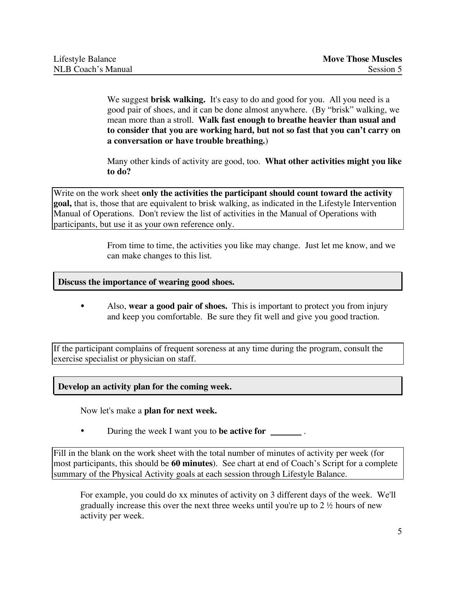We suggest **brisk walking.** It's easy to do and good for you. All you need is a good pair of shoes, and it can be done almost anywhere. (By "brisk" walking, we mean more than a stroll. **Walk fast enough to breathe heavier than usual and to consider that you are working hard, but not so fast that you can't carry on a conversation or have trouble breathing.**)

Many other kinds of activity are good, too. **What other activities might you like to do?**

Write on the work sheet **only the activities the participant should count toward the activity goal,** that is, those that are equivalent to brisk walking, as indicated in the Lifestyle Intervention Manual of Operations. Don't review the list of activities in the Manual of Operations with participants, but use it as your own reference only.

> From time to time, the activities you like may change. Just let me know, and we can make changes to this list.

#### **Discuss the importance of wearing good shoes.**

• Also, **wear a good pair of shoes.** This is important to protect you from injury and keep you comfortable. Be sure they fit well and give you good traction.

If the participant complains of frequent soreness at any time during the program, consult the exercise specialist or physician on staff.

**Develop an activity plan for the coming week.**

Now let's make a **plan for next week.**

• During the week I want you to **be active for** .

Fill in the blank on the work sheet with the total number of minutes of activity per week (for most participants, this should be **60 minutes**). See chart at end of Coach's Script for a complete summary of the Physical Activity goals at each session through Lifestyle Balance.

For example, you could do xx minutes of activity on 3 different days of the week. We'll gradually increase this over the next three weeks until you're up to 2 ½ hours of new activity per week.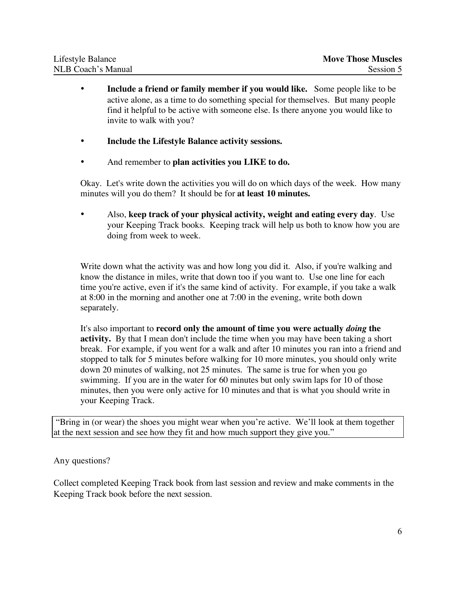| Lifestyle Balance  | <b>Move Those Muscles</b> |
|--------------------|---------------------------|
| NLB Coach's Manual | Session 5                 |

- **Include a friend or family member if you would like.** Some people like to be active alone, as a time to do something special for themselves. But many people find it helpful to be active with someone else. Is there anyone you would like to invite to walk with you?
- **Include the Lifestyle Balance activity sessions.**
- And remember to **plan activities you LIKE to do.**

Okay. Let's write down the activities you will do on which days of the week. How many minutes will you do them? It should be for **at least 10 minutes.**

• Also, **keep track of your physical activity, weight and eating every day***.* Use your Keeping Track books. Keeping track will help us both to know how you are doing from week to week.

Write down what the activity was and how long you did it. Also, if you're walking and know the distance in miles, write that down too if you want to. Use one line for each time you're active, even if it's the same kind of activity. For example, if you take a walk at 8:00 in the morning and another one at 7:00 in the evening, write both down separately.

It's also important to **record only the amount of time you were actually** *doing* **the activity.** By that I mean don't include the time when you may have been taking a short break. For example, if you went for a walk and after 10 minutes you ran into a friend and stopped to talk for 5 minutes before walking for 10 more minutes, you should only write down 20 minutes of walking, not 25 minutes. The same is true for when you go swimming. If you are in the water for 60 minutes but only swim laps for 10 of those minutes, then you were only active for 10 minutes and that is what you should write in your Keeping Track.

"Bring in (or wear) the shoes you might wear when you're active. We'll look at them together at the next session and see how they fit and how much support they give you."

## Any questions?

Collect completed Keeping Track book from last session and review and make comments in the Keeping Track book before the next session.